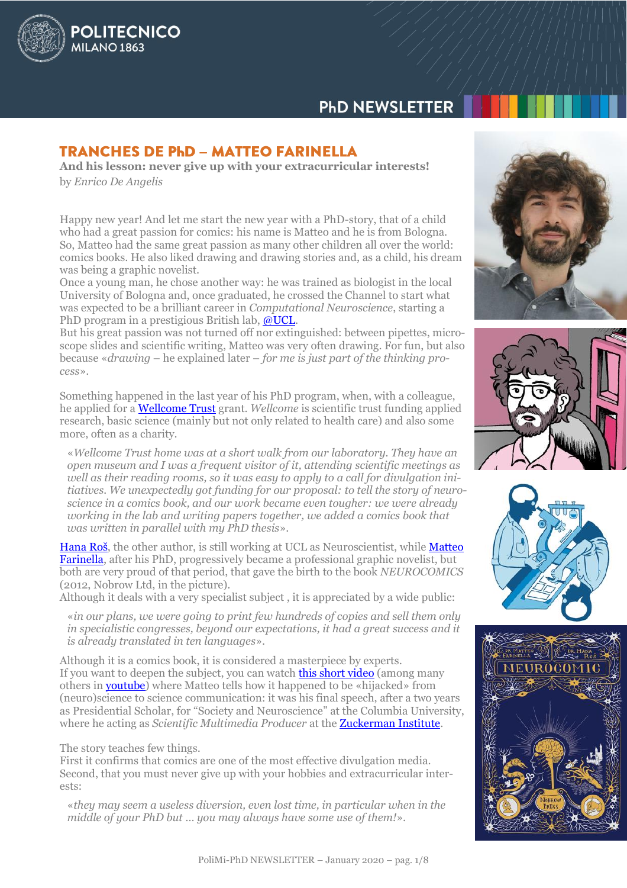# **PhD NEWSLETTER**

# **TRANCHES DE PHD - MATTEO FARINELLA**

**POLITECNICO** 

MILANO<sub>1863</sub>

**And his lesson: never give up with your extracurricular interests!** by *Enrico De Angelis*

Happy new year! And let me start the new year with a PhD-story, that of a child who had a great passion for comics: his name is Matteo and he is from Bologna. So, Matteo had the same great passion as many other children all over the world: comics books. He also liked drawing and drawing stories and, as a child, his dream was being a graphic novelist.

Once a young man, he chose another way: he was trained as biologist in the local University of Bologna and, once graduated, he crossed the Channel to start what was expected to be a brilliant career in *Computational Neuroscience*, starting a PhD program in a prestigious British lab, [@UCL.](http://silverlab.org/)

But his great passion was not turned off nor extinguished: between pipettes, microscope slides and scientific writing, Matteo was very often drawing. For fun, but also because «*drawing* – he explained later – *for me is just part of the thinking process*».

Something happened in the last year of his PhD program, when, with a colleague, he applied for a [Wellcome Trust](https://wellcome.ac.uk/about-us) grant. *Wellcome* is scientific trust funding applied research, basic science (mainly but not only related to health care) and also some more, often as a charity.

«*Wellcome Trust home was at a short walk from our laboratory. They have an open museum and I was a frequent visitor of it, attending scientific meetings as*  well as their reading rooms, so it was easy to apply to a call for divulgation ini*tiatives. We unexpectedly got funding for our proposal: to tell the story of neuroscience in a comics book, and our work became even tougher: we were already working in the lab and writing papers together, we added a comics book that was written in parallel with my PhD thesis*».

[Hana R](https://iris.ucl.ac.uk/iris/browse/profile?upi=HROSS83)oš, the other author, is still working at UCL as Neuroscientist, while [Matteo](https://matteofarinella.com/About)  [Farinella,](https://matteofarinella.com/About) after his PhD, progressively became a professional graphic novelist, but both are very proud of that period, that gave the birth to the book *NEUROCOMICS* (2012, Nobrow Ltd, in the picture).

Although it deals with a very specialist subject , it is appreciated by a wide public:

«*in our plans, we were going to print few hundreds of copies and sell them only in specialistic congresses, beyond our expectations, it had a great success and it is already translated in ten languages*».

Although it is a comics book, it is considered a masterpiece by experts. If you want to deepen the subject, you can watch **this short video** (among many others in [youtube\)](https://www.youtube.com/results?search_query=matteo+farinella) where Matteo tells how it happened to be «hijacked» from (neuro)science to science communication: it was his final speech, after a two years as Presidential Scholar, for "Society and Neuroscience" at the Columbia University, where he acting as *Scientific Multimedia Producer* at the **Zuckerman Institute**.

The story teaches few things.

First it confirms that comics are one of the most effective divulgation media. Second, that you must never give up with your hobbies and extracurricular interests:

«*they may seem a useless diversion, even lost time, in particular when in the middle of your PhD but … you may always have some use of them!*».







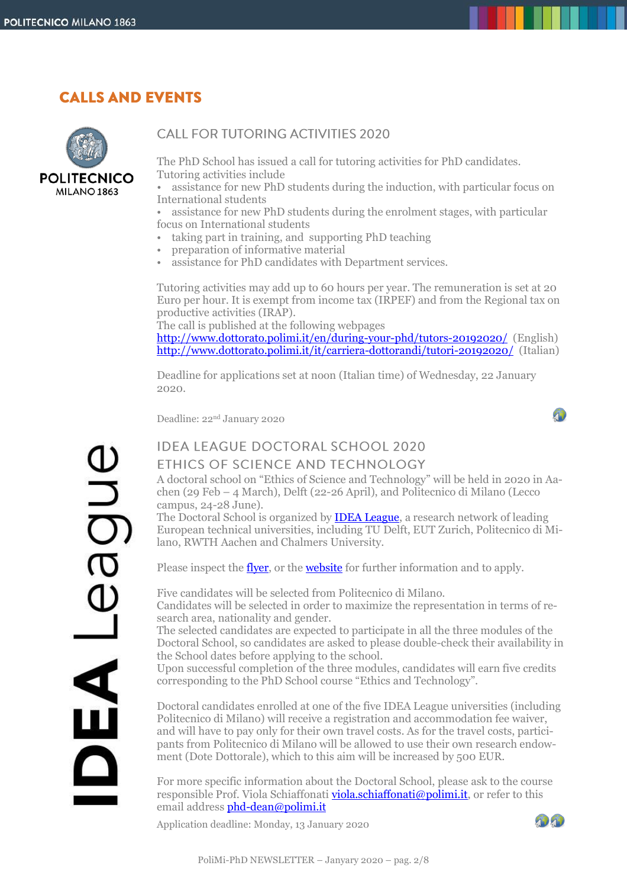# **CALLS AND EVENTS**



## **CALL FOR TUTORING ACTIVITIES 2020**

The PhD School has issued a call for tutoring activities for PhD candidates. Tutoring activities include

• assistance for new PhD students during the induction, with particular focus on International students

• assistance for new PhD students during the enrolment stages, with particular focus on International students

- taking part in training, and supporting PhD teaching
- preparation of informative material
- assistance for PhD candidates with Department services.

Tutoring activities may add up to 60 hours per year. The remuneration is set at 20 Euro per hour. It is exempt from income tax (IRPEF) and from the Regional tax on productive activities (IRAP).

The call is published at the following webpages

<http://www.dottorato.polimi.it/en/during-your-phd/tutors-20192020/>(English) <http://www.dottorato.polimi.it/it/carriera-dottorandi/tutori-20192020/>(Italian)

Deadline for applications set at noon (Italian time) of Wednesday, 22 January 2020.

Deadline: 22nd January 2020

A)

# aupa

# **IDEA LEAGUE DOCTORAL SCHOOL 2020** ETHICS OF SCIENCE AND TECHNOLOGY

A doctoral school on "Ethics of Science and Technology" will be held in 2020 in Aachen (29 Feb – 4 March), Delft (22-26 April), and Politecnico di Milano (Lecco campus, 24-28 June).

The Doctoral School is organized by [IDEA League,](http://idealeague.org/) a research network of leading European technical universities, including TU Delft, EUT Zurich, Politecnico di Milano, RWTH Aachen and Chalmers University.

Please inspect the <u>flyer</u>, or the **website** for further information and to apply.

Five candidates will be selected from Politecnico di Milano. Candidates will be selected in order to maximize the representation in terms of research area, nationality and gender.

The selected candidates are expected to participate in all the three modules of the Doctoral School, so candidates are asked to please double-check their availability in the School dates before applying to the school.

Upon successful completion of the three modules, candidates will earn five credits corresponding to the PhD School course "Ethics and Technology".

Doctoral candidates enrolled at one of the five IDEA League universities (including Politecnico di Milano) will receive a registration and accommodation fee waiver, and will have to pay only for their own travel costs. As for the travel costs, participants from Politecnico di Milano will be allowed to use their own research endowment (Dote Dottorale), which to this aim will be increased by 500 EUR.

For more specific information about the Doctoral School, please ask to the course responsible Prof. Viola Schiaffonati [viola.schiaffonati@polimi.it,](mailto:viola.schiaffonati@polimi.it) or refer to this email address [phd-dean@polimi.it](mailto:phd-dean@polimi.it)

Application deadline: Monday, 13 January 2020

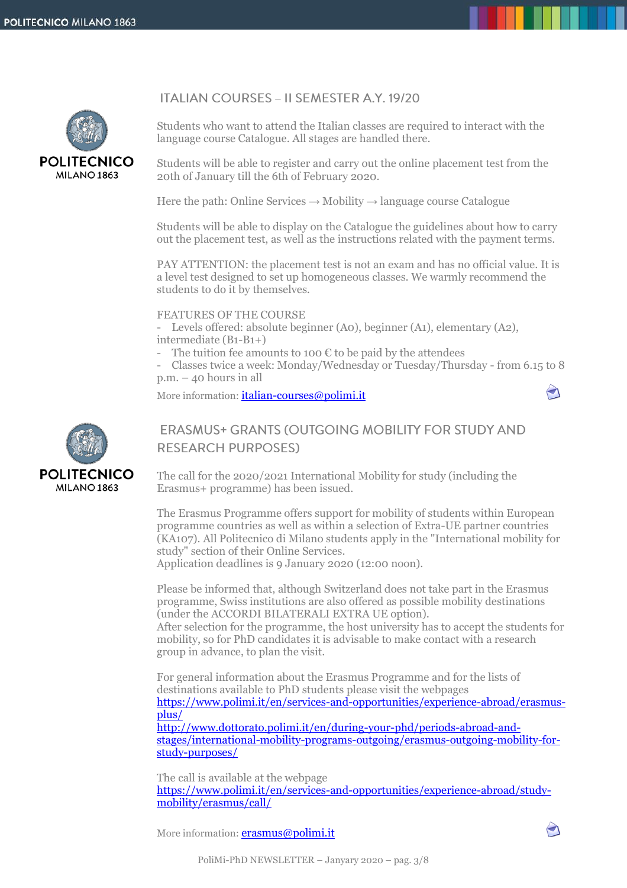



Students who want to attend the Italian classes are required to interact with the language course Catalogue. All stages are handled there.

Students will be able to register and carry out the online placement test from the 20th of January till the 6th of February 2020.

Here the path: Online Services  $\rightarrow$  Mobility  $\rightarrow$  language course Catalogue

Students will be able to display on the Catalogue the guidelines about how to carry out the placement test, as well as the instructions related with the payment terms.

PAY ATTENTION: the placement test is not an exam and has no official value. It is a level test designed to set up homogeneous classes. We warmly recommend the students to do it by themselves.

#### FEATURES OF THE COURSE

- Levels offered: absolute beginner (A0), beginner (A1), elementary (A2), intermediate (B1-B1+)

The tuition fee amounts to 100  $\epsilon$  to be paid by the attendees

Classes twice a week: Monday/Wednesday or Tuesday/Thursday - from 6.15 to 8 p.m. – 40 hours in all

More information: *[italian-courses@polimi.it](mailto:italian-courses@polimi.it)* 



# **ERASMUS+ GRANTS (OUTGOING MOBILITY FOR STUDY AND RESEARCH PURPOSES)**

The call for the 2020/2021 International Mobility for study (including the Erasmus+ programme) has been issued.

The Erasmus Programme offers support for mobility of students within European programme countries as well as within a selection of Extra-UE partner countries (KA107). All Politecnico di Milano students apply in the "International mobility for study" section of their Online Services.

Application deadlines is 9 January 2020 (12:00 noon).

Please be informed that, although Switzerland does not take part in the Erasmus programme, Swiss institutions are also offered as possible mobility destinations (under the ACCORDI BILATERALI EXTRA UE option).

After selection for the programme, the host university has to accept the students for mobility, so for PhD candidates it is advisable to make contact with a research group in advance, to plan the visit.

For general information about the Erasmus Programme and for the lists of destinations available to PhD students please visit the webpages [https://www.polimi.it/en/services-and-opportunities/experience-abroad/erasmus](https://www.polimi.it/en/services-and-opportunities/experience-abroad/erasmus-plus/)[plus/](https://www.polimi.it/en/services-and-opportunities/experience-abroad/erasmus-plus/) [http://www.dottorato.polimi.it/en/during-your-phd/periods-abroad-and-](http://www.dottorato.polimi.it/en/during-your-phd/periods-abroad-and-stages/international-mobility-programs-outgoing/erasmus-outgoing-mobility-for-study-purposes/)

[stages/international-mobility-programs-outgoing/erasmus-outgoing-mobility-for](http://www.dottorato.polimi.it/en/during-your-phd/periods-abroad-and-stages/international-mobility-programs-outgoing/erasmus-outgoing-mobility-for-study-purposes/)[study-purposes/](http://www.dottorato.polimi.it/en/during-your-phd/periods-abroad-and-stages/international-mobility-programs-outgoing/erasmus-outgoing-mobility-for-study-purposes/)

The call is available at the webpage [https://www.polimi.it/en/services-and-opportunities/experience-abroad/study](https://www.polimi.it/en/services-and-opportunities/experience-abroad/study-mobility/erasmus/call/)[mobility/erasmus/call/](https://www.polimi.it/en/services-and-opportunities/experience-abroad/study-mobility/erasmus/call/)

More information: **[erasmus@polimi.it](mailto:erasmus@polimi.it)** 

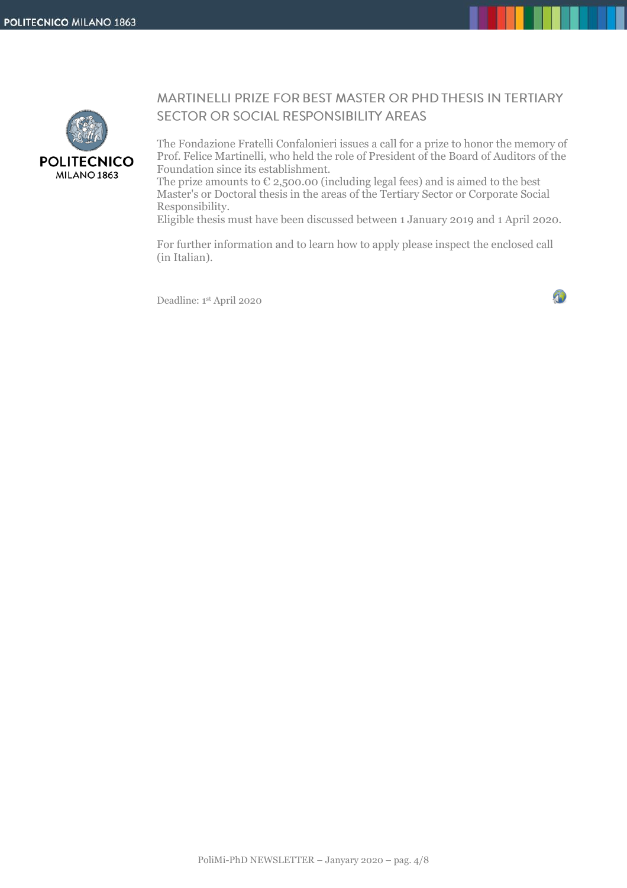

# MARTINELLI PRIZE FOR BEST MASTER OR PHD THESIS IN TERTIARY SECTOR OR SOCIAL RESPONSIBILITY AREAS

The Fondazione Fratelli Confalonieri issues a call for a prize to honor the memory of Prof. Felice Martinelli, who held the role of President of the Board of Auditors of the Foundation since its establishment.

The prize amounts to  $\epsilon$  2,500.00 (including legal fees) and is aimed to the best Master's or Doctoral thesis in the areas of the Tertiary Sector or Corporate Social Responsibility.

Eligible thesis must have been discussed between 1 January 2019 and 1 April 2020.

For further information and to learn how to apply please inspect the enclosed call (in Italian).

Deadline: 1 st April 2020

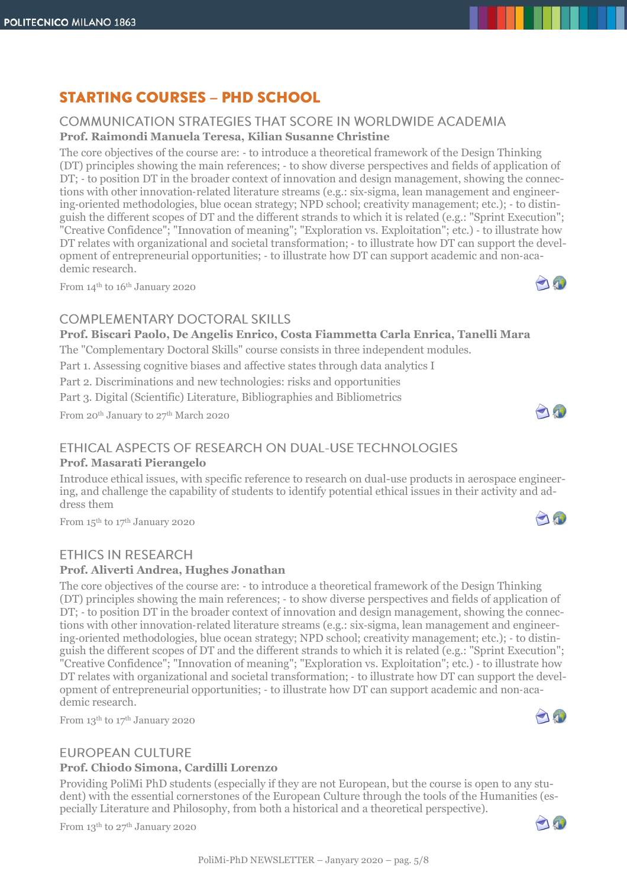**POLITECNICO MILANO 1863** 

#### **COMMUNICATION STRATEGIES THAT SCORE IN WORLDWIDE ACADEMIA Prof. Raimondi Manuela Teresa, Kilian Susanne Christine**

**STARTING COURSES - PHD SCHOOL** 

The core objectives of the course are: ‐ to introduce a theoretical framework of the Design Thinking (DT) principles showing the main references; ‐ to show diverse perspectives and fields of application of DT; - to position DT in the broader context of innovation and design management, showing the connections with other innovation‐related literature streams (e.g.: six‐sigma, lean management and engineering‐oriented methodologies, blue ocean strategy; NPD school; creativity management; etc.); ‐ to distinguish the different scopes of DT and the different strands to which it is related (e.g.: "Sprint Execution"; "Creative Confidence"; "Innovation of meaning"; "Exploration vs. Exploitation"; etc.) ‐ to illustrate how DT relates with organizational and societal transformation; - to illustrate how DT can support the development of entrepreneurial opportunities; ‐ to illustrate how DT can support academic and non‐academic research. 10

From 14<sup>th</sup> to 16<sup>th</sup> January 2020

# COMPLEMENTARY DOCTORAL SKILLS

**Prof. Biscari Paolo, De Angelis Enrico, Costa Fiammetta Carla Enrica, Tanelli Mara**

The "Complementary Doctoral Skills" course consists in three independent modules.

Part 1. Assessing cognitive biases and affective states through data analytics I

Part 2. Discriminations and new technologies: risks and opportunities

Part 3. Digital (Scientific) Literature, Bibliographies and Bibliometrics

From 20<sup>th</sup> January to 27<sup>th</sup> March 2020

# ETHICAL ASPECTS OF RESEARCH ON DUAL-USE TECHNOLOGIES

# **Prof. Masarati Pierangelo**

Introduce ethical issues, with specific reference to research on dual-use products in aerospace engineering, and challenge the capability of students to identify potential ethical issues in their activity and address them

From 15<sup>th</sup> to 17<sup>th</sup> January 2020

# **ETHICS IN RESEARCH**

# **Prof. Aliverti Andrea, Hughes Jonathan**

The core objectives of the course are: ‐ to introduce a theoretical framework of the Design Thinking (DT) principles showing the main references; ‐ to show diverse perspectives and fields of application of DT; - to position DT in the broader context of innovation and design management, showing the connections with other innovation‐related literature streams (e.g.: six‐sigma, lean management and engineering-oriented methodologies, blue ocean strategy; NPD school; creativity management; etc.); - to distinguish the different scopes of DT and the different strands to which it is related (e.g.: "Sprint Execution"; "Creative Confidence"; "Innovation of meaning"; "Exploration vs. Exploitation"; etc.) ‐ to illustrate how DT relates with organizational and societal transformation; - to illustrate how DT can support the development of entrepreneurial opportunities; ‐ to illustrate how DT can support academic and non‐academic research.

From 13<sup>th</sup> to 17<sup>th</sup> January 2020

# **EUROPEAN CULTURE**

# **Prof. Chiodo Simona, Cardilli Lorenzo**

Providing PoliMi PhD students (especially if they are not European, but the course is open to any student) with the essential cornerstones of the European Culture through the tools of the Humanities (especially Literature and Philosophy, from both a historical and a theoretical perspective).

From 13<sup>th</sup> to 27<sup>th</sup> January 2020





0







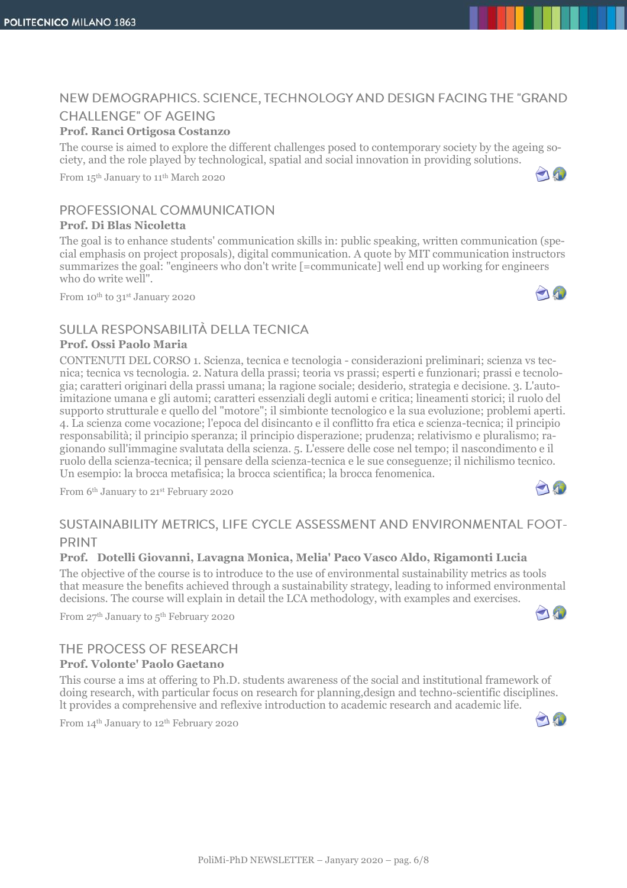# NEW DEMOGRAPHICS. SCIENCE, TECHNOLOGY AND DESIGN FACING THE "GRAND **CHALLENGE" OF AGEING**

#### **Prof. Ranci Ortigosa Costanzo**

The course is aimed to explore the different challenges posed to contemporary society by the ageing society, and the role played by technological, spatial and social innovation in providing solutions.

From 15th January to 11th March 2020

### PROFESSIONAL COMMUNICATION

#### **Prof. Di Blas Nicoletta**

The goal is to enhance students' communication skills in: public speaking, written communication (special emphasis on project proposals), digital communication. A quote by MIT communication instructors summarizes the goal: "engineers who don't write [=communicate] well end up working for engineers who do write well".

From 10th to 31st January 2020

## SULLA RESPONSABILITÀ DELLA TECNICA

#### **Prof. Ossi Paolo Maria**

CONTENUTI DEL CORSO 1. Scienza, tecnica e tecnologia - considerazioni preliminari; scienza vs tecnica; tecnica vs tecnologia. 2. Natura della prassi; teoria vs prassi; esperti e funzionari; prassi e tecnologia; caratteri originari della prassi umana; la ragione sociale; desiderio, strategia e decisione. 3. L'autoimitazione umana e gli automi; caratteri essenziali degli automi e critica; lineamenti storici; il ruolo del supporto strutturale e quello del "motore"; il simbionte tecnologico e la sua evoluzione; problemi aperti. 4. La scienza come vocazione; l'epoca del disincanto e il conflitto fra etica e scienza-tecnica; il principio responsabilità; il principio speranza; il principio disperazione; prudenza; relativismo e pluralismo; ragionando sull'immagine svalutata della scienza. 5. L'essere delle cose nel tempo; il nascondimento e il ruolo della scienza-tecnica; il pensare della scienza-tecnica e le sue conseguenze; il nichilismo tecnico. Un esempio: la brocca metafisica; la brocca scientifica; la brocca fenomenica.

From 6th January to 21st February 2020



#### **PRINT**

#### **Prof. Dotelli Giovanni, Lavagna Monica, Melia' Paco Vasco Aldo, Rigamonti Lucia**

The objective of the course is to introduce to the use of environmental sustainability metrics as tools that measure the benefits achieved through a sustainability strategy, leading to informed environmental decisions. The course will explain in detail the LCA methodology, with examples and exercises.

From 27<sup>th</sup> January to 5<sup>th</sup> February 2020

#### THE PROCESS OF RESEARCH **Prof. Volonte' Paolo Gaetano**

This course a ims at offering to Ph.D. students awareness of the social and institutional framework of doing research, with particular focus on research for planning,design and techno-scientific disciplines. lt provides a comprehensive and reflexive introduction to academic research and academic life.

From 14<sup>th</sup> January to 12<sup>th</sup> February 2020



0







AN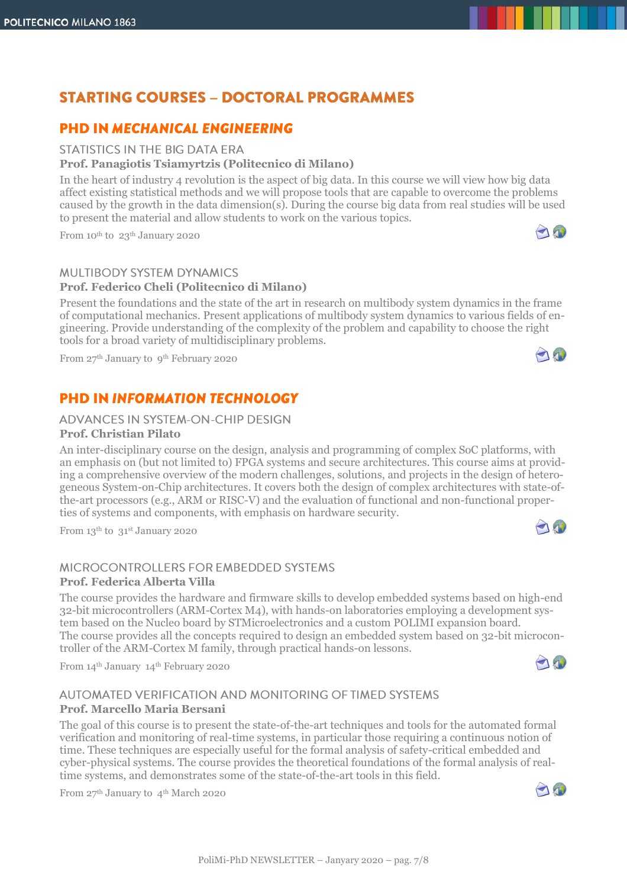# **STARTING COURSES - DOCTORAL PROGRAMMES**

# **PHD IN MECHANICAL ENGINEERING**

#### STATISTICS IN THE BIG DATA FRA

#### **Prof. Panagiotis Tsiamyrtzis (Politecnico di Milano)**

In the heart of industry 4 revolution is the aspect of big data. In this course we will view how big data affect existing statistical methods and we will propose tools that are capable to overcome the problems caused by the growth in the data dimension(s). During the course big data from real studies will be used to present the material and allow students to work on the various topics.

From 10th to 23th January 2020

#### **MULTIBODY SYSTEM DYNAMICS**

#### **Prof. Federico Cheli (Politecnico di Milano)**

Present the foundations and the state of the art in research on multibody system dynamics in the frame of computational mechanics. Present applications of multibody system dynamics to various fields of engineering. Provide understanding of the complexity of the problem and capability to choose the right tools for a broad variety of multidisciplinary problems.

From 27<sup>th</sup> January to 9<sup>th</sup> February 2020

# **PHD IN INFORMATION TECHNOLOGY**

#### ADVANCES IN SYSTEM-ON-CHIP DESIGN

#### **Prof. Christian Pilato**

An inter-disciplinary course on the design, analysis and programming of complex SoC platforms, with an emphasis on (but not limited to) FPGA systems and secure architectures. This course aims at providing a comprehensive overview of the modern challenges, solutions, and projects in the design of heterogeneous System-on-Chip architectures. It covers both the design of complex architectures with state-ofthe-art processors (e.g., ARM or RISC-V) and the evaluation of functional and non-functional properties of systems and components, with emphasis on hardware security.

From 13th to 31st January 2020

# MICROCONTROLLERS FOR EMBEDDED SYSTEMS

### **Prof. Federica Alberta Villa**

The course provides the hardware and firmware skills to develop embedded systems based on high-end 32-bit microcontrollers (ARM-Cortex M4), with hands-on laboratories employing a development system based on the Nucleo board by STMicroelectronics and a custom POLIMI expansion board. The course provides all the concepts required to design an embedded system based on 32-bit microcontroller of the ARM-Cortex M family, through practical hands-on lessons.

From 14th January 14th February 2020

# AUTOMATED VERIFICATION AND MONITORING OF TIMED SYSTEMS

#### **Prof. Marcello Maria Bersani**

The goal of this course is to present the state-of-the-art techniques and tools for the automated formal verification and monitoring of real-time systems, in particular those requiring a continuous notion of time. These techniques are especially useful for the formal analysis of safety-critical embedded and cyber-physical systems. The course provides the theoretical foundations of the formal analysis of realtime systems, and demonstrates some of the state-of-the-art tools in this field.

From 27<sup>th</sup> January to 4<sup>th</sup> March 2020





O





20